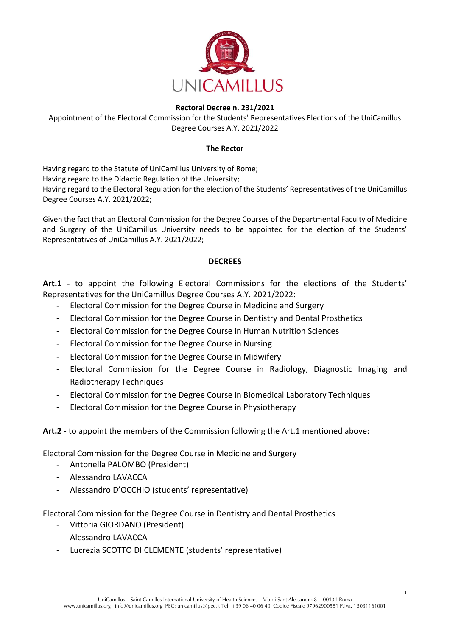

## **Rectoral Decree n. 231/2021**

Appointment of the Electoral Commission for the Students' Representatives Elections of the UniCamillus Degree Courses A.Y. 2021/2022

## **The Rector**

Having regard to the Statute of UniCamillus University of Rome; Having regard to the Didactic Regulation of the University; Having regard to the Electoral Regulation for the election of the Students' Representatives of the UniCamillus Degree Courses A.Y. 2021/2022;

Given the fact that an Electoral Commission for the Degree Courses of the Departmental Faculty of Medicine and Surgery of the UniCamillus University needs to be appointed for the election of the Students' Representatives of UniCamillus A.Y. 2021/2022;

## **DECREES**

**Art.1** - to appoint the following Electoral Commissions for the elections of the Students' Representatives for the UniCamillus Degree Courses A.Y. 2021/2022:

- Electoral Commission for the Degree Course in Medicine and Surgery
- Electoral Commission for the Degree Course in Dentistry and Dental Prosthetics
- Electoral Commission for the Degree Course in Human Nutrition Sciences
- Electoral Commission for the Degree Course in Nursing
- Electoral Commission for the Degree Course in Midwifery
- Electoral Commission for the Degree Course in Radiology, Diagnostic Imaging and Radiotherapy Techniques
- Electoral Commission for the Degree Course in Biomedical Laboratory Techniques
- Electoral Commission for the Degree Course in Physiotherapy

## **Art.2** - to appoint the members of the Commission following the Art.1 mentioned above:

Electoral Commission for the Degree Course in Medicine and Surgery

- Antonella PALOMBO (President)
- Alessandro LAVACCA
- Alessandro D'OCCHIO (students' representative)

Electoral Commission for the Degree Course in Dentistry and Dental Prosthetics

- Vittoria GIORDANO (President)
- Alessandro LAVACCA
- Lucrezia SCOTTO DI CLEMENTE (students' representative)